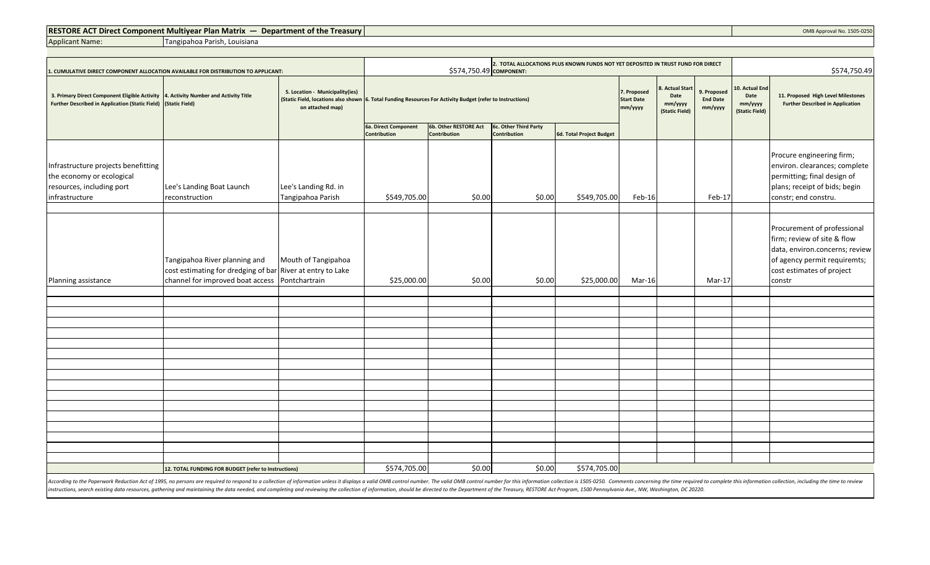## **RESTORE ACT Direct Component Multiyear Plan Matrix — Department of the Treasury COMB Approval No. 1505-0250**

Applicant Name:

Tangipahoa Parish, Louisiana

| . CUMULATIVE DIRECT COMPONENT ALLOCATION AVAILABLE FOR DISTRIBUTION TO APPLICANT:                                                                                                                                                                                                                                                                                                                                                                                                     |                                                                                                                                               |                                                                                                                                                                   | 2. TOTAL ALLOCATIONS PLUS KNOWN FUNDS NOT YET DEPOSITED IN TRUST FUND FOR DIRECT<br>\$574,750.49 COMPONENT: |                                              |                                              |                                                                                                    |        |                                           |                                                     | \$574,750.49                                                                  |                                                                                                                                                                     |  |  |  |
|---------------------------------------------------------------------------------------------------------------------------------------------------------------------------------------------------------------------------------------------------------------------------------------------------------------------------------------------------------------------------------------------------------------------------------------------------------------------------------------|-----------------------------------------------------------------------------------------------------------------------------------------------|-------------------------------------------------------------------------------------------------------------------------------------------------------------------|-------------------------------------------------------------------------------------------------------------|----------------------------------------------|----------------------------------------------|----------------------------------------------------------------------------------------------------|--------|-------------------------------------------|-----------------------------------------------------|-------------------------------------------------------------------------------|---------------------------------------------------------------------------------------------------------------------------------------------------------------------|--|--|--|
| 3. Primary Direct Component Eligible Activity 4. Activity Number and Activity Title<br><b>Further Described in Application (Static Field)</b>                                                                                                                                                                                                                                                                                                                                         | (Static Field)                                                                                                                                | 5. Location - Municipality(ies)<br>(Static Field, locations also shown 6. Total Funding Resources For Activity Budget (refer to Instructions)<br>on attached map) |                                                                                                             |                                              |                                              | . Actual Start<br>7. Proposed<br>Date<br><b>Start Date</b><br>mm/yyyy<br>mm/yyyy<br>(Static Field) |        | 9. Proposed<br><b>End Date</b><br>mm/yyyy | 10. Actual End<br>Date<br>mm/yyyy<br>(Static Field) | 11. Proposed High Level Milestones<br><b>Further Described in Application</b> |                                                                                                                                                                     |  |  |  |
|                                                                                                                                                                                                                                                                                                                                                                                                                                                                                       |                                                                                                                                               |                                                                                                                                                                   | 6a. Direct Component<br><b>Contribution</b>                                                                 | 6b. Other RESTORE Act<br><b>Contribution</b> | 6c. Other Third Party<br><b>Contribution</b> | 6d. Total Project Budget                                                                           |        |                                           |                                                     |                                                                               |                                                                                                                                                                     |  |  |  |
| Infrastructure projects benefitting<br>the economy or ecological<br>resources, including port<br>infrastructure                                                                                                                                                                                                                                                                                                                                                                       | Lee's Landing Boat Launch<br>reconstruction                                                                                                   | Lee's Landing Rd. in<br>Tangipahoa Parish                                                                                                                         | \$549,705.00                                                                                                | \$0.00                                       | \$0.00                                       | \$549,705.00                                                                                       | Feb-16 |                                           | Feb-17                                              |                                                                               | Procure engineering firm;<br>environ. clearances; complete<br>permitting; final design of<br>plans; receipt of bids; begin<br>constr; end constru.                  |  |  |  |
| Planning assistance                                                                                                                                                                                                                                                                                                                                                                                                                                                                   | Tangipahoa River planning and<br>cost estimating for dredging of bar River at entry to Lake<br>channel for improved boat access Pontchartrain | Mouth of Tangipahoa                                                                                                                                               | \$25,000.00                                                                                                 | \$0.00                                       | \$0.00                                       | \$25,000.00                                                                                        | Mar-16 |                                           | $Mar-17$                                            |                                                                               | Procurement of professional<br>firm; review of site & flow<br>data, environ.concerns; review<br>of agency permit requiremts;<br>cost estimates of project<br>constr |  |  |  |
|                                                                                                                                                                                                                                                                                                                                                                                                                                                                                       |                                                                                                                                               |                                                                                                                                                                   |                                                                                                             |                                              |                                              |                                                                                                    |        |                                           |                                                     |                                                                               |                                                                                                                                                                     |  |  |  |
|                                                                                                                                                                                                                                                                                                                                                                                                                                                                                       |                                                                                                                                               |                                                                                                                                                                   |                                                                                                             |                                              |                                              |                                                                                                    |        |                                           |                                                     |                                                                               |                                                                                                                                                                     |  |  |  |
|                                                                                                                                                                                                                                                                                                                                                                                                                                                                                       |                                                                                                                                               |                                                                                                                                                                   |                                                                                                             |                                              |                                              |                                                                                                    |        |                                           |                                                     |                                                                               |                                                                                                                                                                     |  |  |  |
|                                                                                                                                                                                                                                                                                                                                                                                                                                                                                       |                                                                                                                                               |                                                                                                                                                                   |                                                                                                             |                                              |                                              |                                                                                                    |        |                                           |                                                     |                                                                               |                                                                                                                                                                     |  |  |  |
|                                                                                                                                                                                                                                                                                                                                                                                                                                                                                       |                                                                                                                                               |                                                                                                                                                                   |                                                                                                             |                                              |                                              |                                                                                                    |        |                                           |                                                     |                                                                               |                                                                                                                                                                     |  |  |  |
|                                                                                                                                                                                                                                                                                                                                                                                                                                                                                       |                                                                                                                                               |                                                                                                                                                                   |                                                                                                             |                                              |                                              |                                                                                                    |        |                                           |                                                     |                                                                               |                                                                                                                                                                     |  |  |  |
|                                                                                                                                                                                                                                                                                                                                                                                                                                                                                       |                                                                                                                                               |                                                                                                                                                                   |                                                                                                             |                                              |                                              |                                                                                                    |        |                                           |                                                     |                                                                               |                                                                                                                                                                     |  |  |  |
|                                                                                                                                                                                                                                                                                                                                                                                                                                                                                       |                                                                                                                                               |                                                                                                                                                                   |                                                                                                             |                                              |                                              |                                                                                                    |        |                                           |                                                     |                                                                               |                                                                                                                                                                     |  |  |  |
|                                                                                                                                                                                                                                                                                                                                                                                                                                                                                       |                                                                                                                                               |                                                                                                                                                                   |                                                                                                             |                                              |                                              |                                                                                                    |        |                                           |                                                     |                                                                               |                                                                                                                                                                     |  |  |  |
|                                                                                                                                                                                                                                                                                                                                                                                                                                                                                       |                                                                                                                                               |                                                                                                                                                                   |                                                                                                             |                                              |                                              |                                                                                                    |        |                                           |                                                     |                                                                               |                                                                                                                                                                     |  |  |  |
|                                                                                                                                                                                                                                                                                                                                                                                                                                                                                       |                                                                                                                                               |                                                                                                                                                                   |                                                                                                             |                                              |                                              |                                                                                                    |        |                                           |                                                     |                                                                               |                                                                                                                                                                     |  |  |  |
|                                                                                                                                                                                                                                                                                                                                                                                                                                                                                       |                                                                                                                                               |                                                                                                                                                                   |                                                                                                             |                                              |                                              |                                                                                                    |        |                                           |                                                     |                                                                               |                                                                                                                                                                     |  |  |  |
|                                                                                                                                                                                                                                                                                                                                                                                                                                                                                       | 12. TOTAL FUNDING FOR BUDGET (refer to Instructions)                                                                                          |                                                                                                                                                                   | \$574,705.00                                                                                                | \$0.00                                       | \$0.00                                       | \$574,705.00                                                                                       |        |                                           |                                                     |                                                                               |                                                                                                                                                                     |  |  |  |
| $\mathbf{1} \cdot \mathbf{1} \cdot \mathbf{1} \cdot \mathbf{1} \cdot \mathbf{1} \cdot \mathbf{1} \cdot \mathbf{1} \cdot \mathbf{1} \cdot \mathbf{1} \cdot \mathbf{1} \cdot \mathbf{1} \cdot \mathbf{1} \cdot \mathbf{1} \cdot \mathbf{1} \cdot \mathbf{1} \cdot \mathbf{1} \cdot \mathbf{1} \cdot \mathbf{1} \cdot \mathbf{1} \cdot \mathbf{1} \cdot \mathbf{1} \cdot \mathbf{1} \cdot \mathbf{1} \cdot \mathbf{1} \cdot \mathbf{1} \cdot \mathbf{1} \cdot \mathbf{1} \cdot \mathbf{$ |                                                                                                                                               |                                                                                                                                                                   |                                                                                                             |                                              | $      -$                                    |                                                                                                    |        |                                           |                                                     |                                                                               |                                                                                                                                                                     |  |  |  |

According to the Paperwork Reduction Act of 1995, no persons are required to respond to a collection of information unless it displays a valid OMB control number. The valid OMB control number for this information collectio instructions, search existing data resources, gathering and maintaining the data needed, and completing and reviewing the collection of information, should be directed to the Department of the Treasury, RESTORE Act Program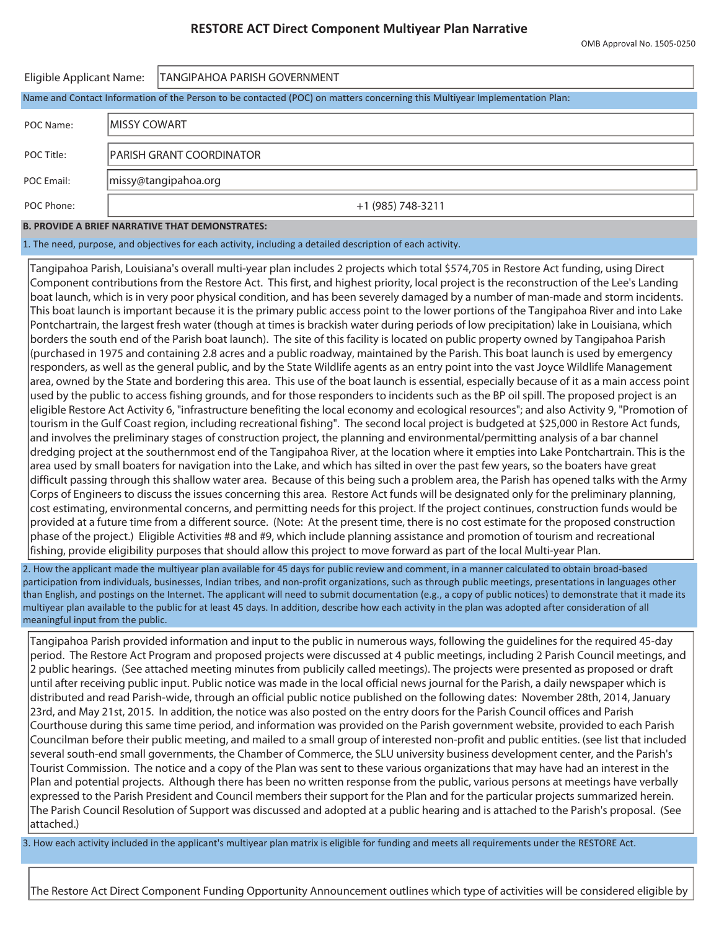# **RESTORE ACT Direct Component Multiyear Plan Narrative**

| Eligible Applicant Name: |               | <b>TANGIPAHOA PARISH GOVERNMENT</b>                                                                                        |  |  |  |  |  |  |
|--------------------------|---------------|----------------------------------------------------------------------------------------------------------------------------|--|--|--|--|--|--|
|                          |               | Name and Contact Information of the Person to be contacted (POC) on matters concerning this Multiyear Implementation Plan: |  |  |  |  |  |  |
| POC Name:                | IMISSY COWART |                                                                                                                            |  |  |  |  |  |  |
| POC Title:               |               | IPARISH GRANT COORDINATOR                                                                                                  |  |  |  |  |  |  |
| POC Email:               |               | missy@tangipahoa.org                                                                                                       |  |  |  |  |  |  |
| POC Phone:               |               | +1 (985) 748-3211                                                                                                          |  |  |  |  |  |  |

#### **B. PROVIDE A BRIEF NARRATIVE THAT DEMONSTRATES:**

1. The need, purpose, and objectives for each activity, including a detailed description of each activity.

Tangipahoa Parish, Louisiana's overall multi-year plan includes 2 projects which total \$574,705 in Restore Act funding, using Direct Component contributions from the Restore Act. This first, and highest priority, local project is the reconstruction of the Lee's Landing boat launch, which is in very poor physical condition, and has been severely damaged by a number of man-made and storm incidents. This boat launch is important because it is the primary public access point to the lower portions of the Tangipahoa River and into Lake Pontchartrain, the largest fresh water (though at times is brackish water during periods of low precipitation) lake in Louisiana, which borders the south end of the Parish boat launch). The site of this facility is located on public property owned by Tangipahoa Parish (purchased in 1975 and containing 2.8 acres and a public roadway, maintained by the Parish. This boat launch is used by emergency responders, as well as the general public, and by the State Wildlife agents as an entry point into the vast Joyce Wildlife Management area, owned by the State and bordering this area. This use of the boat launch is essential, especially because of it as a main access point used by the public to access fishing grounds, and for those responders to incidents such as the BP oil spill. The proposed project is an eligible Restore Act Activity 6, "infrastructure benefiting the local economy and ecological resources"; and also Activity 9, "Promotion of tourism in the Gulf Coast region, including recreational fishing". The second local project is budgeted at \$25,000 in Restore Act funds, and involves the preliminary stages of construction project, the planning and environmental/permitting analysis of a bar channel dredging project at the southernmost end of the Tangipahoa River, at the location where it empties into Lake Pontchartrain. This is the area used by small boaters for navigation into the Lake, and which has silted in over the past few years, so the boaters have great difficult passing through this shallow water area. Because of this being such a problem area, the Parish has opened talks with the Army Corps of Engineers to discuss the issues concerning this area. Restore Act funds will be designated only for the preliminary planning, cost estimating, environmental concerns, and permitting needs for this project. If the project continues, construction funds would be provided at a future time from a different source. (Note: At the present time, there is no cost estimate for the proposed construction phase of the project.) Eligible Activities #8 and #9, which include planning assistance and promotion of tourism and recreational fishing, provide eligibility purposes that should allow this project to move forward as part of the local Multi-year Plan.

2. How the applicant made the multiyear plan available for 45 days for public review and comment, in a manner calculated to obtain broad-based participation from individuals, businesses, Indian tribes, and non-profit organizations, such as through public meetings, presentations in languages other than English, and postings on the Internet. The applicant will need to submit documentation (e.g., a copy of public notices) to demonstrate that it made its multiyear plan available to the public for at least 45 days. In addition, describe how each activity in the plan was adopted after consideration of all meaningful input from the public.

Tangipahoa Parish provided information and input to the public in numerous ways, following the guidelines for the required 45-day period. The Restore Act Program and proposed projects were discussed at 4 public meetings, including 2 Parish Council meetings, and 2 public hearings. (See attached meeting minutes from publicily called meetings). The projects were presented as proposed or draft until after receiving public input. Public notice was made in the local official news journal for the Parish, a daily newspaper which is distributed and read Parish-wide, through an official public notice published on the following dates: November 28th, 2014, January 23rd, and May 21st, 2015. In addition, the notice was also posted on the entry doors for the Parish Council offices and Parish Courthouse during this same time period, and information was provided on the Parish government website, provided to each Parish Councilman before their public meeting, and mailed to a small group of interested non-profit and public entities. (see list that included several south-end small governments, the Chamber of Commerce, the SLU university business development center, and the Parish's Tourist Commission. The notice and a copy of the Plan was sent to these various organizations that may have had an interest in the Plan and potential projects. Although there has been no written response from the public, various persons at meetings have verbally expressed to the Parish President and Council members their support for the Plan and for the particular projects summarized herein. The Parish Council Resolution of Support was discussed and adopted at a public hearing and is attached to the Parish's proposal. (See attached.)

3. How each activity included in the applicant's multiyear plan matrix is eligible for funding and meets all requirements under the RESTORE Act.

The Restore Act Direct Component Funding Opportunity Announcement outlines which type of activities will be considered eligible by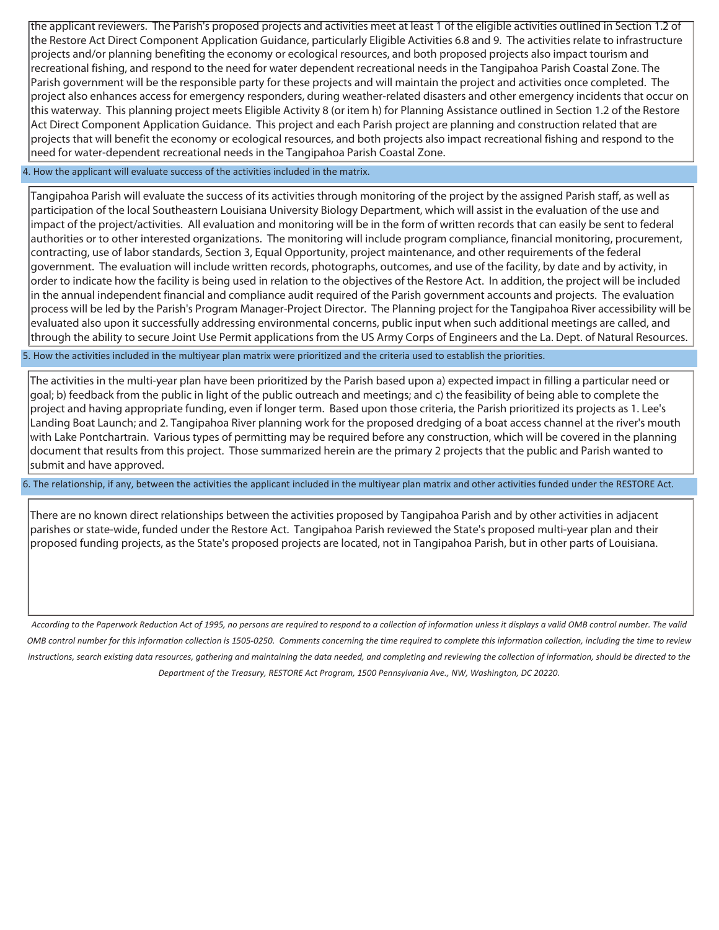the applicant reviewers. The Parish's proposed projects and activities meet at least 1 of the eligible activities outlined in Section 1.2 of the Restore Act Direct Component Application Guidance, particularly Eligible Activities 6.8 and 9. The activities relate to infrastructure projects and/or planning benefiting the economy or ecological resources, and both proposed projects also impact tourism and recreational fishing, and respond to the need for water dependent recreational needs in the Tangipahoa Parish Coastal Zone. The Parish government will be the responsible party for these projects and will maintain the project and activities once completed. The project also enhances access for emergency responders, during weather-related disasters and other emergency incidents that occur on this waterway. This planning project meets Eligible Activity 8 (or item h) for Planning Assistance outlined in Section 1.2 of the Restore Act Direct Component Application Guidance. This project and each Parish project are planning and construction related that are projects that will benefit the economy or ecological resources, and both projects also impact recreational fishing and respond to the need for water-dependent recreational needs in the Tangipahoa Parish Coastal Zone.

### 4. How the applicant will evaluate success of the activities included in the matrix.

Tangipahoa Parish will evaluate the success of its activities through monitoring of the project by the assigned Parish staff, as well as participation of the local Southeastern Louisiana University Biology Department, which will assist in the evaluation of the use and impact of the project/activities. All evaluation and monitoring will be in the form of written records that can easily be sent to federal authorities or to other interested organizations. The monitoring will include program compliance, financial monitoring, procurement, contracting, use of labor standards, Section 3, Equal Opportunity, project maintenance, and other requirements of the federal government. The evaluation will include written records, photographs, outcomes, and use of the facility, by date and by activity, in order to indicate how the facility is being used in relation to the objectives of the Restore Act. In addition, the project will be included in the annual independent financial and compliance audit required of the Parish government accounts and projects. The evaluation process will be led by the Parish's Program Manager-Project Director. The Planning project for the Tangipahoa River accessibility will be evaluated also upon it successfully addressing environmental concerns, public input when such additional meetings are called, and through the ability to secure Joint Use Permit applications from the US Army Corps of Engineers and the La. Dept. of Natural Resources.

5. How the activities included in the multiyear plan matrix were prioritized and the criteria used to establish the priorities.

The activities in the multi-year plan have been prioritized by the Parish based upon a) expected impact in filling a particular need or goal; b) feedback from the public in light of the public outreach and meetings; and c) the feasibility of being able to complete the project and having appropriate funding, even if longer term. Based upon those criteria, the Parish prioritized its projects as 1. Lee's Landing Boat Launch; and 2. Tangipahoa River planning work for the proposed dredging of a boat access channel at the river's mouth with Lake Pontchartrain. Various types of permitting may be required before any construction, which will be covered in the planning document that results from this project. Those summarized herein are the primary 2 projects that the public and Parish wanted to submit and have approved.

6. The relationship, if any, between the activities the applicant included in the multiyear plan matrix and other activities funded under the RESTORE Act.

There are no known direct relationships between the activities proposed by Tangipahoa Parish and by other activities in adjacent parishes or state-wide, funded under the Restore Act. Tangipahoa Parish reviewed the State's proposed multi-year plan and their proposed funding projects, as the State's proposed projects are located, not in Tangipahoa Parish, but in other parts of Louisiana.

*According to the Paperwork Reduction Act of 1995, no persons are required to respond to a collection of information unless it displays a valid OMB control number. The valid OMB control number for this information collection is 1505-0250. Comments concerning the time required to complete this information collection, including the time to review*  instructions, search existing data resources, gathering and maintaining the data needed, and completing and reviewing the collection of information, should be directed to the *Department of the Treasury, RESTORE Act Program, 1500 Pennsylvania Ave., NW, Washington, DC 20220.*